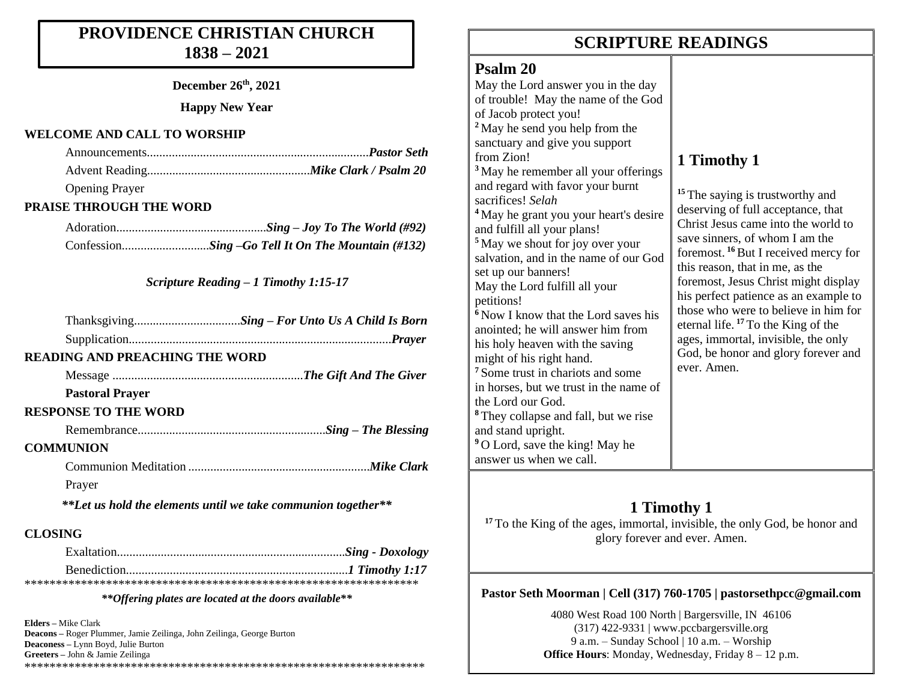# **PROVIDENCE CHRISTIAN CHURCH 1838 – 2021**

**December 26th, 2021**

**Happy New Year**

#### **WELCOME AND CALL TO WORSHIP**

| <b>Opening Prayer</b> |  |
|-----------------------|--|

### **PRAISE THROUGH THE WORD**

#### *Scripture Reading – 1 Timothy 1:15-17*

|                | <b>READING AND PREACHING THE WORD</b>                         |
|----------------|---------------------------------------------------------------|
|                |                                                               |
|                | <b>Pastoral Prayer</b>                                        |
|                | <b>RESPONSE TO THE WORD</b>                                   |
|                |                                                               |
|                | <b>COMMUNION</b>                                              |
|                |                                                               |
|                | Prayer                                                        |
|                | **Let us hold the elements until we take communion together** |
| <b>CLOSING</b> |                                                               |

#### *\*\*Offering plates are located at the doors available\*\**

**Elders –** Mike Clark **Deacons –** Roger Plummer, Jamie Zeilinga, John Zeilinga, George Burton **Deaconess –** Lynn Boyd, Julie Burton **Greeters –** John & Jamie Zeilinga \*\*\*\*\*\*\*\*\*\*\*\*\*\*\*\*\*\*\*\*\*\*\*\*\*\*\*\*\*\*\*\*\*\*\*\*\*\*\*\*\*\*\*\*\*\*\*\*\*\*\*\*\*\*\*\*\*\*\*\*\*\*\*\*

# **SCRIPTURE READINGS SCRIPTURE READINGS**

## **Psalm 20**

May the Lord answer you in the day of trouble! May the name of the God of Jacob protect you! **<sup>2</sup>** May he send you help from the sanctuary and give you support from Zion! **<sup>3</sup>** May he remember all your offerings and regard with favor your burnt sacrifices! *Selah* **<sup>4</sup>** May he grant you your heart's desire and fulfill all your plans! **<sup>5</sup>** May we shout for joy over your salvation, and in the name of our God set up our banners! May the Lord fulfill all your petitions! **<sup>6</sup>** Now I know that the Lord saves his anointed; he will answer him from his holy heaven with the saving might of his right hand. **<sup>7</sup>** Some trust in chariots and some in horses, but we trust in the name of the Lord our God. **<sup>8</sup>** They collapse and fall, but we rise and stand upright. **<sup>9</sup>** O Lord, save the king! May he answer us when we call.

# **1 Timothy 1**

<sup>15</sup> The saying is trustworthy and deserving of full acceptance, that Christ Jesus came into the world to save sinners, of whom I am the foremost. **<sup>16</sup>**But I received mercy for this reason, that in me, as the foremost, Jesus Christ might display his perfect patience as an example to those who were to believe in him for eternal life. **<sup>17</sup>** To the King of the ages, immortal, invisible, the only God, be honor and glory forever and ever. Amen.

# **1 Timothy 1**

**<sup>17</sup>** To the King of the ages, immortal, invisible, the only God, be honor and glory forever and ever. Amen.

### **Pastor Seth Moorman | Cell (317) 760-1705 | pastorsethpcc@gmail.com**

4080 West Road 100 North | Bargersville, IN 46106  $(317)$  422-9331 | www.pccbargersville.org 9 a.m. – Sunday School | 10 a.m. – Worship **Office Hours:** Monday, Wednesday, Friday 8 – 12 p.m.